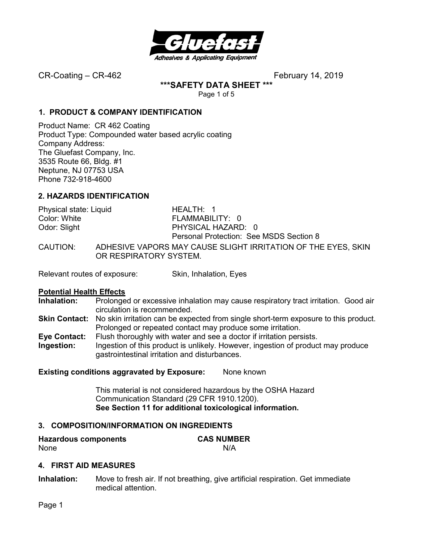

**\*\*\*SAFETY DATA SHEET \*\*\*** 

Page 1 of 5

## **1. PRODUCT & COMPANY IDENTIFICATION**

Product Name: CR 462 Coating Product Type: Compounded water based acrylic coating Company Address: The Gluefast Company, Inc. 3535 Route 66, Bldg. #1 Neptune, NJ 07753 USA Phone 732-918-4600

# **2. HAZARDS IDENTIFICATION**

| Physical state: Liquid | HEALTH: 1                                                                               |
|------------------------|-----------------------------------------------------------------------------------------|
| Color: White           | FLAMMABILITY: 0                                                                         |
| Odor: Slight           | PHYSICAL HAZARD: 0                                                                      |
|                        | Personal Protection: See MSDS Section 8                                                 |
| CAUTION:               | ADHESIVE VAPORS MAY CAUSE SLIGHT IRRITATION OF THE EYES. SKIN<br>OR RESPIRATORY SYSTEM. |

Relevant routes of exposure: Skin, Inhalation, Eyes

## **Potential Health Effects**

- **Inhalation:** Prolonged or excessive inhalation may cause respiratory tract irritation. Good air circulation is recommended.
- **Skin Contact:** No skin irritation can be expected from single short-term exposure to this product. Prolonged or repeated contact may produce some irritation.
- **Eye Contact:** Flush thoroughly with water and see a doctor if irritation persists.
- **Ingestion:** Ingestion of this product is unlikely. However, ingestion of product may produce gastrointestinal irritation and disturbances.

## **Existing conditions aggravated by Exposure:** None known

This material is not considered hazardous by the OSHA Hazard Communication Standard (29 CFR 1910.1200). **See Section 11 for additional toxicological information.** 

## **3. COMPOSITION/INFORMATION ON INGREDIENTS**

| <b>Hazardous components</b> | <b>CAS NUMBER</b> |
|-----------------------------|-------------------|
| None                        | N/A               |

## **4. FIRST AID MEASURES**

**Inhalation:** Move to fresh air. If not breathing, give artificial respiration. Get immediate medical attention.

Page 1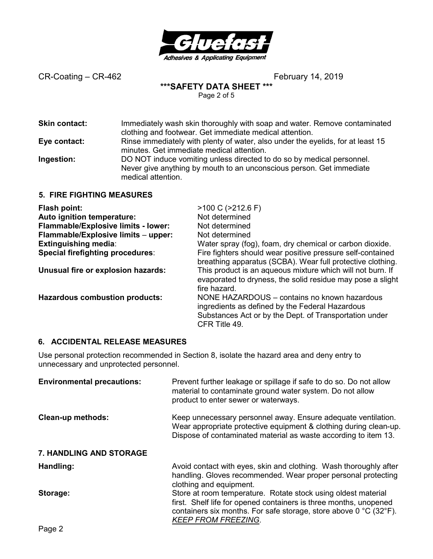

**\*\*\*SAFETY DATA SHEET \*\*\*** 

Page 2 of 5

| <b>Skin contact:</b>             | Immediately wash skin thoroughly with soap and water. Remove contaminated<br>clothing and footwear. Get immediate medical attention.                                |
|----------------------------------|---------------------------------------------------------------------------------------------------------------------------------------------------------------------|
| Eye contact:                     | Rinse immediately with plenty of water, also under the eyelids, for at least 15<br>minutes. Get immediate medical attention.                                        |
| Ingestion:                       | DO NOT induce vomiting unless directed to do so by medical personnel.<br>Never give anything by mouth to an unconscious person. Get immediate<br>medical attention. |
| <b>5. FIRE FIGHTING MEASURES</b> |                                                                                                                                                                     |

| Flash point:                          | $>100$ C ( $>212.6$ F)                                                                                                                                                     |
|---------------------------------------|----------------------------------------------------------------------------------------------------------------------------------------------------------------------------|
| Auto ignition temperature:            | Not determined                                                                                                                                                             |
| Flammable/Explosive limits - lower:   | Not determined                                                                                                                                                             |
| Flammable/Explosive limits - upper:   | Not determined                                                                                                                                                             |
| <b>Extinguishing media:</b>           | Water spray (fog), foam, dry chemical or carbon dioxide.                                                                                                                   |
| Special firefighting procedures:      | Fire fighters should wear positive pressure self-contained<br>breathing apparatus (SCBA). Wear full protective clothing.                                                   |
| Unusual fire or explosion hazards:    | This product is an aqueous mixture which will not burn. If<br>evaporated to dryness, the solid residue may pose a slight<br>fire hazard.                                   |
| <b>Hazardous combustion products:</b> | NONE HAZARDOUS – contains no known hazardous<br>ingredients as defined by the Federal Hazardous<br>Substances Act or by the Dept. of Transportation under<br>CFR Title 49. |

## **6. ACCIDENTAL RELEASE MEASURES**

Use personal protection recommended in Section 8, isolate the hazard area and deny entry to unnecessary and unprotected personnel.

| <b>Environmental precautions:</b> | Prevent further leakage or spillage if safe to do so. Do not allow<br>material to contaminate ground water system. Do not allow<br>product to enter sewer or waterways.                                                                                   |
|-----------------------------------|-----------------------------------------------------------------------------------------------------------------------------------------------------------------------------------------------------------------------------------------------------------|
| <b>Clean-up methods:</b>          | Keep unnecessary personnel away. Ensure adequate ventilation.<br>Wear appropriate protective equipment & clothing during clean-up.<br>Dispose of contaminated material as waste according to item 13.                                                     |
| <b>7. HANDLING AND STORAGE</b>    |                                                                                                                                                                                                                                                           |
| Handling:                         | Avoid contact with eyes, skin and clothing. Wash thoroughly after<br>handling. Gloves recommended. Wear proper personal protecting<br>clothing and equipment.                                                                                             |
| Storage:                          | Store at room temperature. Rotate stock using oldest material<br>first. Shelf life for opened containers is three months, unopened<br>containers six months. For safe storage, store above $0^{\circ}$ C (32 $^{\circ}$ F).<br><b>KEEP FROM FREEZING.</b> |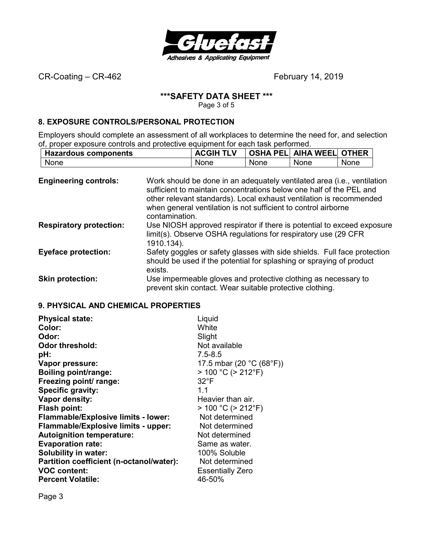

# **\*\*\*SAFETY DATA SHEET \*\*\***

Page 3 of 5

## **8. EXPOSURE CONTROLS/PERSONAL PROTECTION**

Employers should complete an assessment of all workplaces to determine the need for, and selection of, proper exposure controls and protective equipment for each task performed.

|             | <b>Hazardous components</b> |             | <b>ACGIH TLV</b> |      | OSHA PEL  AIHA WEEL  OTHER |      |
|-------------|-----------------------------|-------------|------------------|------|----------------------------|------|
| <b>None</b> |                             | <b>None</b> |                  | None | None                       | None |

| <b>Engineering controls:</b>   | Work should be done in an adequately ventilated area (i.e., ventilation<br>sufficient to maintain concentrations below one half of the PEL and<br>other relevant standards). Local exhaust ventilation is recommended<br>when general ventilation is not sufficient to control airborne<br>contamination. |
|--------------------------------|-----------------------------------------------------------------------------------------------------------------------------------------------------------------------------------------------------------------------------------------------------------------------------------------------------------|
| <b>Respiratory protection:</b> | Use NIOSH approved respirator if there is potential to exceed exposure<br>limit(s). Observe OSHA regulations for respiratory use (29 CFR)<br>1910.134).                                                                                                                                                   |
| <b>Eyeface protection:</b>     | Safety goggles or safety glasses with side shields. Full face protection<br>should be used if the potential for splashing or spraying of product<br>exists.                                                                                                                                               |
| <b>Skin protection:</b>        | Use impermeable gloves and protective clothing as necessary to<br>prevent skin contact. Wear suitable protective clothing.                                                                                                                                                                                |

## **9. PHYSICAL AND CHEMICAL PROPERTIES**

| <b>Physical state:</b>                     | Liquid                    |
|--------------------------------------------|---------------------------|
| Color:                                     | White                     |
| Odor:                                      | Slight                    |
| <b>Odor threshold:</b>                     | Not available             |
| pH:                                        | $7.5 - 8.5$               |
| Vapor pressure:                            | 17.5 mbar (20 °C (68°F))  |
| <b>Boiling point/range:</b>                | $> 100 °C$ ( $> 212 °F$ ) |
| Freezing point/ range:                     | $32^{\circ}$ F            |
| Specific gravity:                          | 1.1                       |
| Vapor density:                             | Heavier than air.         |
| Flash point:                               | $> 100 °C$ ( $> 212 °F$ ) |
| <b>Flammable/Explosive limits - lower:</b> | Not determined            |
| Flammable/Explosive limits - upper:        | Not determined            |
| <b>Autoignition temperature:</b>           | Not determined            |
| <b>Evaporation rate:</b>                   | Same as water.            |
| <b>Solubility in water:</b>                | 100% Soluble              |
| Partition coefficient (n-octanol/water):   | Not determined            |
| <b>VOC content:</b>                        | <b>Essentially Zero</b>   |
| <b>Percent Volatile:</b>                   | 46-50%                    |

Page 3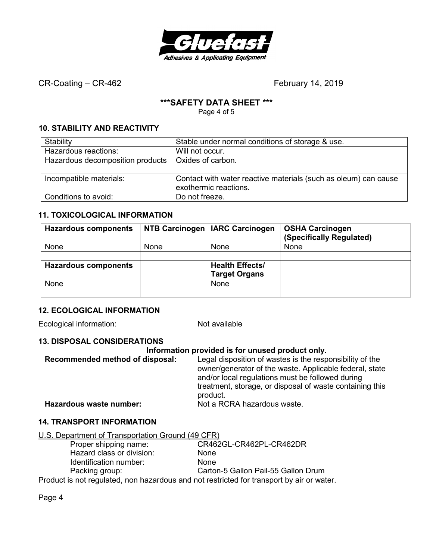

## **\*\*\*SAFETY DATA SHEET \*\*\***

Page 4 of 5

# **10. STABILITY AND REACTIVITY**

| Stability                        | Stable under normal conditions of storage & use.                                         |
|----------------------------------|------------------------------------------------------------------------------------------|
| Hazardous reactions:             | Will not occur.                                                                          |
| Hazardous decomposition products | Oxides of carbon.                                                                        |
|                                  |                                                                                          |
| Incompatible materials:          | Contact with water reactive materials (such as oleum) can cause<br>exothermic reactions. |
| Conditions to avoid:             | Do not freeze.                                                                           |

# **11. TOXICOLOGICAL INFORMATION**

| <b>Hazardous components</b> |      | NTB Carcinogen   IARC Carcinogen | <b>OSHA Carcinogen</b><br>(Specifically Regulated) |
|-----------------------------|------|----------------------------------|----------------------------------------------------|
| None                        | None | None                             | <b>None</b>                                        |
|                             |      |                                  |                                                    |
| <b>Hazardous components</b> |      | <b>Health Effects/</b>           |                                                    |
|                             |      | <b>Target Organs</b>             |                                                    |
| None                        |      | <b>None</b>                      |                                                    |
|                             |      |                                  |                                                    |

# **12. ECOLOGICAL INFORMATION**

Ecological information: Not available

## **13. DISPOSAL CONSIDERATIONS**

## **Information provided is for unused product only.**

| Recommended method of disposal: | Legal disposition of wastes is the responsibility of the |
|---------------------------------|----------------------------------------------------------|
|                                 | owner/generator of the waste. Applicable federal, state  |
|                                 | and/or local regulations must be followed during         |
|                                 | treatment, storage, or disposal of waste containing this |
|                                 | product.                                                 |
| Hazardous waste number:         | Not a RCRA hazardous waste.                              |

## **14. TRANSPORT INFORMATION**

| U.S. Department of Transportation Ground (49 CFR) |
|---------------------------------------------------|
|---------------------------------------------------|

| Proper shipping name:     | CR462GL-CR462PL-CR462DR                                                                 |
|---------------------------|-----------------------------------------------------------------------------------------|
| Hazard class or division: | <b>None</b>                                                                             |
| Identification number:    | <b>None</b>                                                                             |
| Packing group:            | Carton-5 Gallon Pail-55 Gallon Drum                                                     |
|                           | Draduat is not requisited, non bezardeus and not restricted for transport by sir en wat |

Product is not regulated, non hazardous and not restricted for transport by air or water.

Page 4